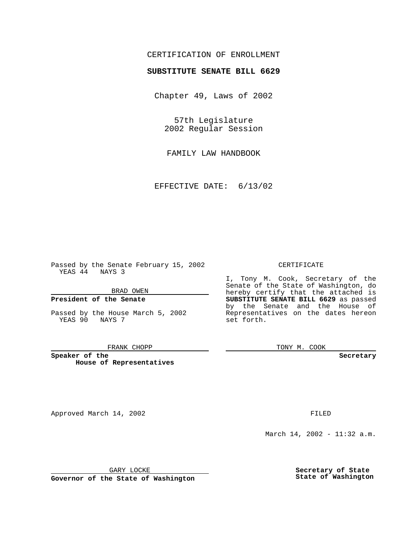# CERTIFICATION OF ENROLLMENT

# **SUBSTITUTE SENATE BILL 6629**

Chapter 49, Laws of 2002

57th Legislature 2002 Regular Session

FAMILY LAW HANDBOOK

EFFECTIVE DATE: 6/13/02

Passed by the Senate February 15, 2002 YEAS 44 NAYS 3

#### BRAD OWEN

### **President of the Senate**

Passed by the House March 5, 2002 YEAS 90 NAYS 7

#### FRANK CHOPP

**Speaker of the House of Representatives**

Approved March 14, 2002 **FILED** 

### CERTIFICATE

I, Tony M. Cook, Secretary of the Senate of the State of Washington, do hereby certify that the attached is **SUBSTITUTE SENATE BILL 6629** as passed by the Senate and the House of Representatives on the dates hereon set forth.

TONY M. COOK

**Secretary**

March 14, 2002 - 11:32 a.m.

GARY LOCKE

**Governor of the State of Washington**

**Secretary of State State of Washington**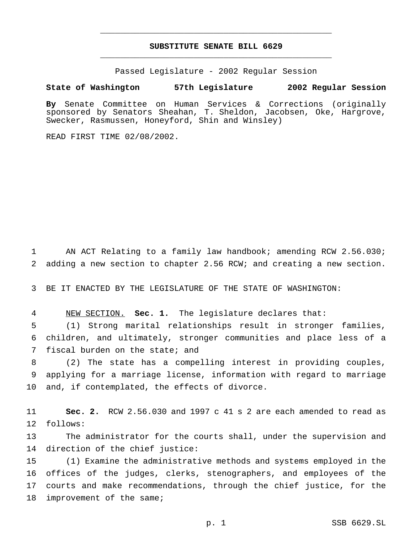# **SUBSTITUTE SENATE BILL 6629** \_\_\_\_\_\_\_\_\_\_\_\_\_\_\_\_\_\_\_\_\_\_\_\_\_\_\_\_\_\_\_\_\_\_\_\_\_\_\_\_\_\_\_\_\_\_\_

\_\_\_\_\_\_\_\_\_\_\_\_\_\_\_\_\_\_\_\_\_\_\_\_\_\_\_\_\_\_\_\_\_\_\_\_\_\_\_\_\_\_\_\_\_\_\_

Passed Legislature - 2002 Regular Session

### **State of Washington 57th Legislature 2002 Regular Session**

**By** Senate Committee on Human Services & Corrections (originally sponsored by Senators Sheahan, T. Sheldon, Jacobsen, Oke, Hargrove, Swecker, Rasmussen, Honeyford, Shin and Winsley)

READ FIRST TIME 02/08/2002.

 AN ACT Relating to a family law handbook; amending RCW 2.56.030; adding a new section to chapter 2.56 RCW; and creating a new section.

BE IT ENACTED BY THE LEGISLATURE OF THE STATE OF WASHINGTON:

NEW SECTION. **Sec. 1.** The legislature declares that:

 (1) Strong marital relationships result in stronger families, children, and ultimately, stronger communities and place less of a fiscal burden on the state; and

 (2) The state has a compelling interest in providing couples, applying for a marriage license, information with regard to marriage and, if contemplated, the effects of divorce.

 **Sec. 2.** RCW 2.56.030 and 1997 c 41 s 2 are each amended to read as follows:

 The administrator for the courts shall, under the supervision and direction of the chief justice:

 (1) Examine the administrative methods and systems employed in the offices of the judges, clerks, stenographers, and employees of the courts and make recommendations, through the chief justice, for the 18 improvement of the same;

p. 1 SSB 6629.SL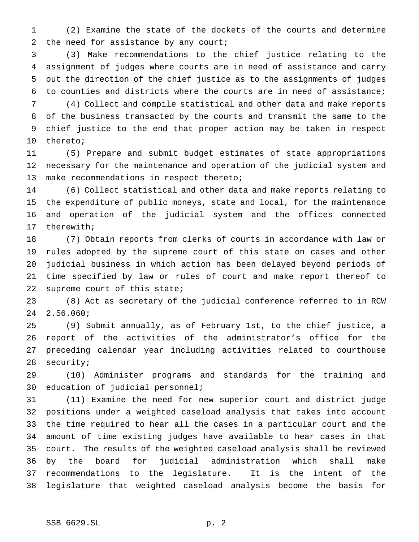(2) Examine the state of the dockets of the courts and determine 2 the need for assistance by any court;

 (3) Make recommendations to the chief justice relating to the assignment of judges where courts are in need of assistance and carry out the direction of the chief justice as to the assignments of judges to counties and districts where the courts are in need of assistance;

 (4) Collect and compile statistical and other data and make reports of the business transacted by the courts and transmit the same to the chief justice to the end that proper action may be taken in respect thereto;

 (5) Prepare and submit budget estimates of state appropriations necessary for the maintenance and operation of the judicial system and make recommendations in respect thereto;

 (6) Collect statistical and other data and make reports relating to the expenditure of public moneys, state and local, for the maintenance and operation of the judicial system and the offices connected therewith;

 (7) Obtain reports from clerks of courts in accordance with law or rules adopted by the supreme court of this state on cases and other judicial business in which action has been delayed beyond periods of time specified by law or rules of court and make report thereof to supreme court of this state;

 (8) Act as secretary of the judicial conference referred to in RCW 2.56.060;

 (9) Submit annually, as of February 1st, to the chief justice, a report of the activities of the administrator's office for the preceding calendar year including activities related to courthouse security;

 (10) Administer programs and standards for the training and education of judicial personnel;

 (11) Examine the need for new superior court and district judge positions under a weighted caseload analysis that takes into account the time required to hear all the cases in a particular court and the amount of time existing judges have available to hear cases in that court. The results of the weighted caseload analysis shall be reviewed by the board for judicial administration which shall make recommendations to the legislature. It is the intent of the legislature that weighted caseload analysis become the basis for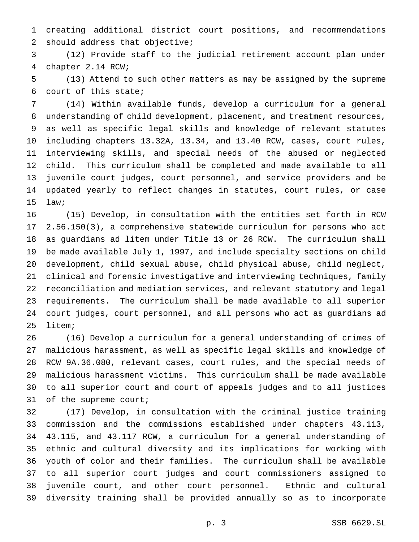creating additional district court positions, and recommendations should address that objective;

 (12) Provide staff to the judicial retirement account plan under chapter 2.14 RCW;

 (13) Attend to such other matters as may be assigned by the supreme court of this state;

 (14) Within available funds, develop a curriculum for a general understanding of child development, placement, and treatment resources, as well as specific legal skills and knowledge of relevant statutes including chapters 13.32A, 13.34, and 13.40 RCW, cases, court rules, interviewing skills, and special needs of the abused or neglected child. This curriculum shall be completed and made available to all juvenile court judges, court personnel, and service providers and be updated yearly to reflect changes in statutes, court rules, or case law;

 (15) Develop, in consultation with the entities set forth in RCW 2.56.150(3), a comprehensive statewide curriculum for persons who act as guardians ad litem under Title 13 or 26 RCW. The curriculum shall be made available July 1, 1997, and include specialty sections on child development, child sexual abuse, child physical abuse, child neglect, clinical and forensic investigative and interviewing techniques, family reconciliation and mediation services, and relevant statutory and legal requirements. The curriculum shall be made available to all superior court judges, court personnel, and all persons who act as guardians ad litem;

 (16) Develop a curriculum for a general understanding of crimes of malicious harassment, as well as specific legal skills and knowledge of RCW 9A.36.080, relevant cases, court rules, and the special needs of malicious harassment victims. This curriculum shall be made available to all superior court and court of appeals judges and to all justices of the supreme court;

 (17) Develop, in consultation with the criminal justice training commission and the commissions established under chapters 43.113, 43.115, and 43.117 RCW, a curriculum for a general understanding of ethnic and cultural diversity and its implications for working with youth of color and their families. The curriculum shall be available to all superior court judges and court commissioners assigned to juvenile court, and other court personnel. Ethnic and cultural diversity training shall be provided annually so as to incorporate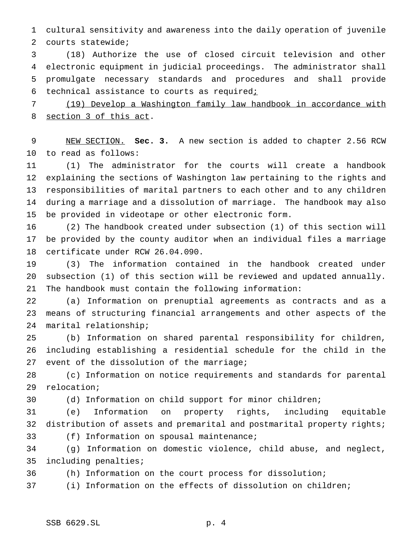cultural sensitivity and awareness into the daily operation of juvenile courts statewide;

 (18) Authorize the use of closed circuit television and other electronic equipment in judicial proceedings. The administrator shall promulgate necessary standards and procedures and shall provide 6 technical assistance to courts as required;

 (19) Develop a Washington family law handbook in accordance with section 3 of this act.

 NEW SECTION. **Sec. 3.** A new section is added to chapter 2.56 RCW to read as follows:

 (1) The administrator for the courts will create a handbook explaining the sections of Washington law pertaining to the rights and responsibilities of marital partners to each other and to any children during a marriage and a dissolution of marriage. The handbook may also be provided in videotape or other electronic form.

 (2) The handbook created under subsection (1) of this section will be provided by the county auditor when an individual files a marriage certificate under RCW 26.04.090.

 (3) The information contained in the handbook created under subsection (1) of this section will be reviewed and updated annually. The handbook must contain the following information:

 (a) Information on prenuptial agreements as contracts and as a means of structuring financial arrangements and other aspects of the marital relationship;

 (b) Information on shared parental responsibility for children, including establishing a residential schedule for the child in the 27 event of the dissolution of the marriage;

 (c) Information on notice requirements and standards for parental relocation;

(d) Information on child support for minor children;

 (e) Information on property rights, including equitable distribution of assets and premarital and postmarital property rights; (f) Information on spousal maintenance;

 (g) Information on domestic violence, child abuse, and neglect, including penalties;

(h) Information on the court process for dissolution;

(i) Information on the effects of dissolution on children;